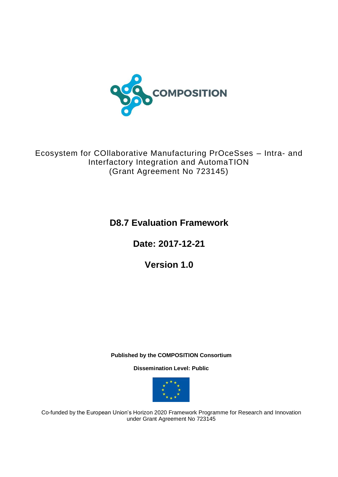

Ecosystem for COllaborative Manufacturing PrOceSses – Intra- and Interfactory Integration and AutomaTION (Grant Agreement No 723145)

**D8.7 Evaluation Framework**

**Date: 2017-12-21**

**Version 1.0**

**Published by the COMPOSITION Consortium** 

**Dissemination Level: Public**



Co-funded by the European Union's Horizon 2020 Framework Programme for Research and Innovation under Grant Agreement No 723145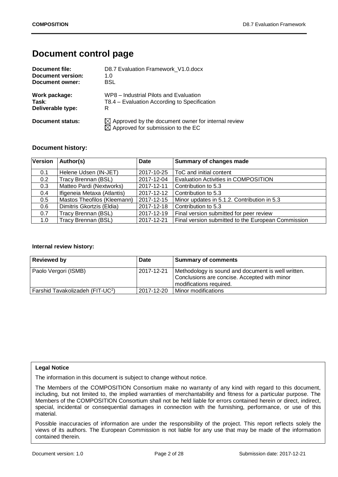## **Document control page**

| Document file:    | D8.7 Evaluation Framework V1.0.docx                                                                             |
|-------------------|-----------------------------------------------------------------------------------------------------------------|
| Document version: | 1.0                                                                                                             |
| Document owner:   | <b>BSL</b>                                                                                                      |
| Work package:     | WP8 – Industrial Pilots and Evaluation                                                                          |
| Task:             | T8.4 – Evaluation According to Specification                                                                    |
| Deliverable type: | R                                                                                                               |
| Document status:  | $\boxtimes$ Approved by the document owner for internal review<br>$\boxtimes$ Approved for submission to the EC |

#### **Document history:**

| Version | Author(s)                   | <b>Date</b> | <b>Summary of changes made</b>                     |
|---------|-----------------------------|-------------|----------------------------------------------------|
|         |                             |             |                                                    |
| 0.1     | Helene Udsen (IN-JET)       | 2017-10-25  | ToC and initial content                            |
| 0.2     | Tracy Brennan (BSL)         | 2017-12-04  | <b>Evaluation Activities in COMPOSITION</b>        |
| 0.3     | Matteo Pardi (Nextworks)    | 2017-12-11  | Contribution to 5.3                                |
| 0.4     | Ifigeneia Metaxa (Atlantis) | 2017-12-12  | Contribution to 5.3                                |
| 0.5     | Mastos Theofilos (Kleemann) | 2017-12-15  | Minor updates in 5.1.2. Contribution in 5.3        |
| 0.6     | Dimitris Gkortzis (Eldia)   | 2017-12-18  | Contribution to 5.3                                |
| 0.7     | Tracy Brennan (BSL)         | 2017-12-19  | Final version submitted for peer review            |
| 1.0     | Tracy Brennan (BSL)         | 2017-12-21  | Final version submitted to the European Commission |

#### **Internal review history:**

| <b>Reviewed by</b>                           | <b>Date</b> | <b>Summary of comments</b>                                                                                                    |
|----------------------------------------------|-------------|-------------------------------------------------------------------------------------------------------------------------------|
| Paolo Vergori (ISMB)                         | 2017-12-21  | Methodology is sound and document is well written.<br>Conclusions are concise. Accepted with minor<br>modifications required. |
| Farshid Tavakolizadeh (FIT-UC <sup>2</sup> ) | 2017-12-20  | Minor modifications                                                                                                           |

#### **Legal Notice**

The information in this document is subject to change without notice.

The Members of the COMPOSITION Consortium make no warranty of any kind with regard to this document, including, but not limited to, the implied warranties of merchantability and fitness for a particular purpose. The Members of the COMPOSITION Consortium shall not be held liable for errors contained herein or direct, indirect, special, incidental or consequential damages in connection with the furnishing, performance, or use of this material.

Possible inaccuracies of information are under the responsibility of the project. This report reflects solely the views of its authors. The European Commission is not liable for any use that may be made of the information contained therein.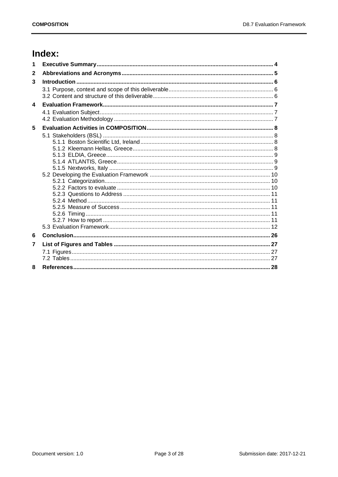# Index:

| 1                |  |
|------------------|--|
| $\mathbf{2}$     |  |
| 3                |  |
|                  |  |
| $\blacktriangle$ |  |
|                  |  |
| 5                |  |
|                  |  |
|                  |  |
|                  |  |
|                  |  |
|                  |  |
|                  |  |
|                  |  |
|                  |  |
|                  |  |
|                  |  |
|                  |  |
|                  |  |
|                  |  |
|                  |  |
| 6                |  |
| 7                |  |
|                  |  |
|                  |  |
| 8                |  |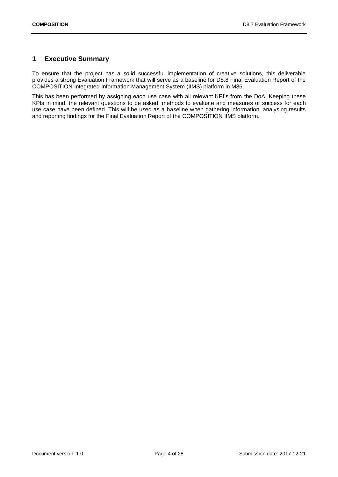## <span id="page-3-0"></span>**1 Executive Summary**

To ensure that the project has a solid successful implementation of creative solutions, this deliverable provides a strong Evaluation Framework that will serve as a baseline for D8.8 Final Evaluation Report of the COMPOSITION Integrated Information Management System (IIMS) platform in M36.

This has been performed by assigning each use case with all relevant KPI's from the DoA. Keeping these KPIs in mind, the relevant questions to be asked, methods to evaluate and measures of success for each use case have been defined. This will be used as a baseline when gathering information, analysing results and reporting findings for the Final Evaluation Report of the COMPOSITION IIMS platform.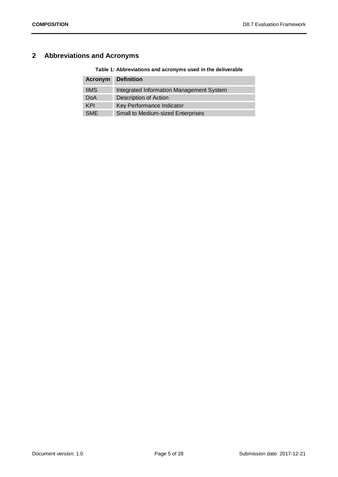## <span id="page-4-1"></span><span id="page-4-0"></span>**2 Abbreviations and Acronyms**

**Table 1: Abbreviations and acronyms used in the deliverable**

|             | <b>Acronym</b> Definition                |
|-------------|------------------------------------------|
| <b>IIMS</b> | Integrated Information Management System |
| DoA         | <b>Description of Action</b>             |
| KPI         | Key Performance Indicator                |
| <b>SMF</b>  | <b>Small to Medium-sized Enterprises</b> |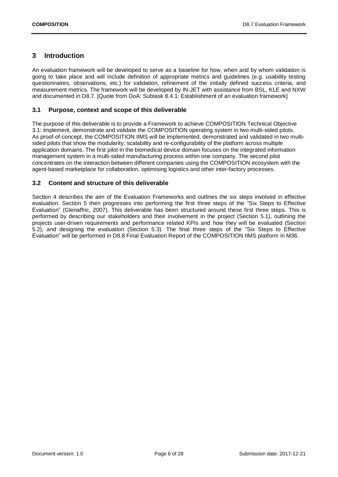## <span id="page-5-0"></span>**3 Introduction**

An evaluation framework will be developed to serve as a baseline for how, when and by whom validation is going to take place and will include definition of appropriate metrics and guidelines (e.g. usability testing questionnaires, observations, etc.) for validation, refinement of the initially defined success criteria, and measurement metrics. The framework will be developed by IN-JET with assistance from BSL, KLE and NXW and documented in D8.7. [Quote from DoA: Subtask 8.4.1: Establishment of an evaluation framework]

#### <span id="page-5-1"></span>**3.1 Purpose, context and scope of this deliverable**

The purpose of this deliverable is to provide a Framework to achieve COMPOSITION Technical Objective 3.1: implement, demonstrate and validate the COMPOSITION operating system in two multi-sided pilots. As proof-of-concept, the COMPOSITION IIMS will be implemented, demonstrated and validated in two multisided pilots that show the modularity, scalability and re-configurability of the platform across multiple application domains. The first pilot in the biomedical device domain focuses on the integrated information management system in a multi-sided manufacturing process within one company. The second pilot concentrates on the interaction between different companies using the COMPOSITION ecosystem with the agent-based marketplace for collaboration, optimising logistics and other inter-factory processes.

#### <span id="page-5-2"></span>**3.2 Content and structure of this deliverable**

Section 4 describes the aim of the Evaluation Frameworks and outlines the six steps involved in effective evaluation. Section 5 then progresses into performing the first three steps of the "Six Steps to Effective Evaluation" (Glenaffric, 2007). This deliverable has been structured around these first three steps. This is performed by describing our stakeholders and their involvement in the project (Section [5.1\)](#page-7-1), outlining the projects user-driven requirements and performance related KPIs and how they will be evaluated (Section [5.2\)](#page-9-0), and designing the evaluation (Section [5.3\)](#page-11-0). The final three steps of the "Six Steps to Effective Evaluation" will be performed in D8.8 Final Evaluation Report of the COMPOSITION IIMS platform in M36.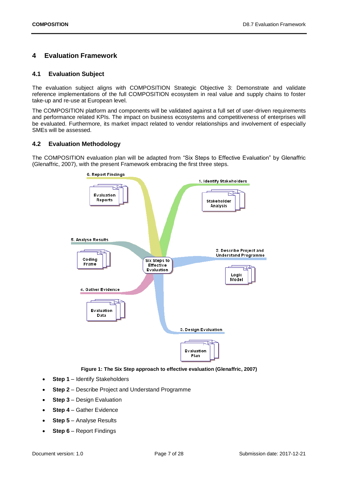## <span id="page-6-0"></span>**4 Evaluation Framework**

#### <span id="page-6-1"></span>**4.1 Evaluation Subject**

The evaluation subject aligns with COMPOSITION Strategic Objective 3: Demonstrate and validate reference implementations of the full COMPOSITION ecosystem in real value and supply chains to foster take-up and re-use at European level.

The COMPOSITION platform and components will be validated against a full set of user-driven requirements and performance related KPIs. The impact on business ecosystems and competitiveness of enterprises will be evaluated. Furthermore, its market impact related to vendor relationships and involvement of especially SMEs will be assessed.

#### <span id="page-6-2"></span>**4.2 Evaluation Methodology**

The COMPOSITION evaluation plan will be adapted from "Six Steps to Effective Evaluation" by Glenaffric (Glenaffric, 2007), with the present Framework embracing the first three steps.



#### **Figure 1: The Six Step approach to effective evaluation (Glenaffric, 2007)**

- <span id="page-6-3"></span>• **Step 1** – Identify Stakeholders
- **Step 2** Describe Project and Understand Programme
- **Step 3** Design Evaluation
- **Step 4** Gather Evidence
- **Step 5** Analyse Results
- **Step 6** Report Findings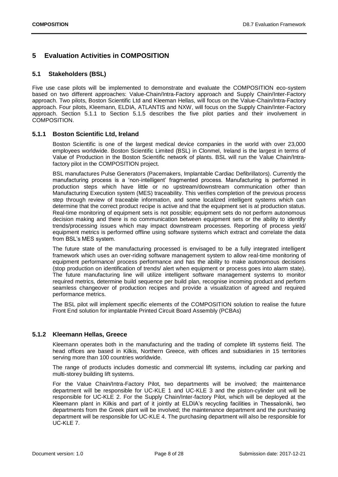## <span id="page-7-0"></span>**5 Evaluation Activities in COMPOSITION**

### <span id="page-7-1"></span>**5.1 Stakeholders (BSL)**

Five use case pilots will be implemented to demonstrate and evaluate the COMPOSITION eco-system based on two different approaches: Value-Chain/Intra-Factory approach and Supply Chain/Inter-Factory approach. Two pilots, Boston Scientific Ltd and Kleeman Hellas, will focus on the Value-Chain/Intra-Factory approach. Four pilots, Kleemann, ELDIA, ATLANTIS and NXW, will focus on the Supply Chain/Inter-Factory approach. Section [5.1.1](#page-7-2) to Section [5.1.5](#page-8-2) describes the five pilot parties and their involvement in COMPOSITION.

#### <span id="page-7-2"></span>**5.1.1 Boston Scientific Ltd, Ireland**

Boston Scientific is one of the largest medical device companies in the world with over 23,000 employees worldwide. Boston Scientific Limited (BSL) in Clonmel, Ireland is the largest in terms of Value of Production in the Boston Scientific network of plants. BSL will run the Value Chain/Intrafactory pilot in the COMPOSITION project.

BSL manufactures Pulse Generators (Pacemakers, Implantable Cardiac Defibrillators). Currently the manufacturing process is a 'non-intelligent' fragmented process. Manufacturing is performed in production steps which have little or no upstream/downstream communication other than Manufacturing Execution system (MES) traceability. This verifies completion of the previous process step through review of traceable information, and some localized intelligent systems which can determine that the correct product recipe is active and that the equipment set is at production status. Real-time monitoring of equipment sets is not possible; equipment sets do not perform autonomous decision making and there is no communication between equipment sets or the ability to identify trends/processing issues which may impact downstream processes. Reporting of process yield/ equipment metrics is performed offline using software systems which extract and correlate the data from BSL's MES system.

The future state of the manufacturing processed is envisaged to be a fully integrated intelligent framework which uses an over-riding software management system to allow real-time monitoring of equipment performance/ process performance and has the ability to make autonomous decisions (stop production on identification of trends/ alert when equipment or process goes into alarm state). The future manufacturing line will utilize intelligent software management systems to monitor required metrics, determine build sequence per build plan, recognise incoming product and perform seamless changeover of production recipes and provide a visualization of agreed and required performance metrics.

The BSL pilot will implement specific elements of the COMPOSITION solution to realise the future Front End solution for implantable Printed Circuit Board Assembly (PCBAs)

#### <span id="page-7-3"></span>**5.1.2 Kleemann Hellas, Greece**

Kleemann operates both in the manufacturing and the trading of complete lift systems field. The head offices are based in Kilkis, Northern Greece, with offices and subsidiaries in 15 territories serving more than 100 countries worldwide.

The range of products includes domestic and commercial lift systems, including car parking and multi-storey building lift systems.

For the Value Chain/Intra-Factory Pilot, two departments will be involved; the maintenance department will be responsible for UC-KLE 1 and UC-KLE 3 and the piston-cylinder unit will be responsible for UC-KLE 2. For the Supply Chain/Inter-factory Pilot, which will be deployed at the Kleemann plant in Kilkis and part of it jointly at ELDIA's recycling facilities in Thessaloniki, two departments from the Greek plant will be involved; the maintenance department and the purchasing department will be responsible for UC-KLE 4. The purchasing department will also be responsible for UC-KLE 7.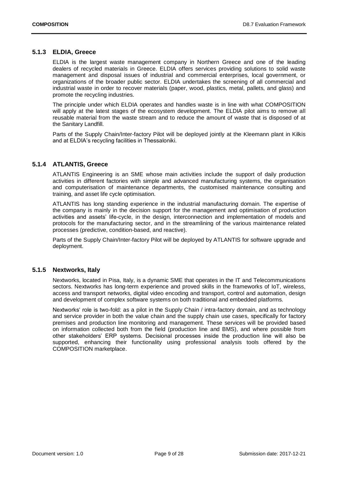#### <span id="page-8-0"></span>**5.1.3 ELDIA, Greece**

ELDIA is the largest waste management company in Northern Greece and one of the leading dealers of recycled materials in Greece. ELDIA offers services providing solutions to solid waste management and disposal issues of industrial and commercial enterprises, local government, or organizations of the broader public sector. ELDIA undertakes the screening of all commercial and industrial waste in order to recover materials (paper, wood, plastics, metal, pallets, and glass) and promote the recycling industries.

The principle under which ELDIA operates and handles waste is in line with what COMPOSITION will apply at the latest stages of the ecosystem development. The ELDIA pilot aims to remove all reusable material from the waste stream and to reduce the amount of waste that is disposed of at the Sanitary Landfill.

Parts of the Supply Chain/Inter-factory Pilot will be deployed jointly at the Kleemann plant in Kilkis and at ELDIA's recycling facilities in Thessaloniki.

#### <span id="page-8-1"></span>**5.1.4 ATLANTIS, Greece**

ATLANTIS Engineering is an SME whose main activities include the support of daily production activities in different factories with simple and advanced manufacturing systems, the organisation and computerisation of maintenance departments, the customised maintenance consulting and training, and asset life cycle optimisation.

ATLANTIS has long standing experience in the industrial manufacturing domain. The expertise of the company is mainly in the decision support for the management and optimisation of production activities and assets' life-cycle, in the design, interconnection and implementation of models and protocols for the manufacturing sector, and in the streamlining of the various maintenance related processes (predictive, condition-based, and reactive).

Parts of the Supply Chain/Inter-factory Pilot will be deployed by ATLANTIS for software upgrade and deployment.

#### <span id="page-8-2"></span>**5.1.5 Nextworks, Italy**

Nextworks, located in Pisa, Italy, is a dynamic SME that operates in the IT and Telecommunications sectors. Nextworks has long-term experience and proved skills in the frameworks of IoT, wireless, access and transport networks, digital video encoding and transport, control and automation, design and development of complex software systems on both traditional and embedded platforms.

Nextworks' role is two-fold: as a pilot in the Supply Chain / intra-factory domain, and as technology and service provider in both the value chain and the supply chain use cases, specifically for factory premises and production line monitoring and management. These services will be provided based on information collected both from the field (production line and BMS), and where possible from other stakeholders' ERP systems. Decisional processes inside the production line will also be supported, enhancing their functionality using professional analysis tools offered by the COMPOSITION marketplace.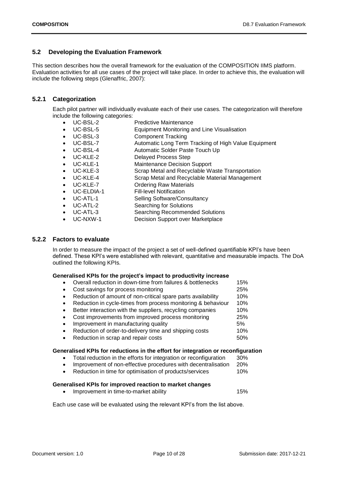## <span id="page-9-0"></span>**5.2 Developing the Evaluation Framework**

This section describes how the overall framework for the evaluation of the COMPOSITION IIMS platform. Evaluation activities for all use cases of the project will take place. In order to achieve this, the evaluation will include the following steps (Glenaffric, 2007):

### <span id="page-9-1"></span>**5.2.1 Categorization**

Each pilot partner will individually evaluate each of their use cases. The categorization will therefore include the following categories:

- UC-BSL-2 Predictive Maintenance
- UC-BSL-5 Equipment Monitoring and Line Visualisation
- UC-BSL-3 Component Tracking
- UC-BSL-7 Automatic Long Term Tracking of High Value Equipment
- UC-BSL-4 Automatic Solder Paste Touch Up
- UC-KLE-2 Delayed Process Step
- UC-KLE-1 Maintenance Decision Support
- UC-KLE-3 Scrap Metal and Recyclable Waste Transportation
- UC-KLE-4 Scrap Metal and Recyclable Material Management
- UC-KLE-7 Ordering Raw Materials
- UC-ELDIA-1 Fill-level Notification
- UC-ATL-1 Selling Software/Consultancy
- UC-ATL-2 Searching for Solutions
- UC-ATL-3 Searching Recommended Solutions
- 
- UC-NXW-1 Decision Support over Marketplace

#### <span id="page-9-2"></span>**5.2.2 Factors to evaluate**

In order to measure the impact of the project a set of well-defined quantifiable KPI's have been defined. These KPI's were established with relevant, quantitative and measurable impacts. The DoA outlined the following KPIs.

#### **Generalised KPIs for the project's impact to productivity increase**

|           | Overall reduction in down-time from failures & bottlenecks   | 15% |
|-----------|--------------------------------------------------------------|-----|
| $\bullet$ | Cost savings for process monitoring                          | 25% |
|           | Reduction of amount of non-critical spare parts availability | 10% |
|           | Reduction in cycle-times from process monitoring & behaviour | 10% |
| $\bullet$ | Better interaction with the suppliers, recycling companies   | 10% |
| $\bullet$ | Cost improvements from improved process monitoring           | 25% |
| $\bullet$ | Improvement in manufacturing quality                         | 5%  |
| $\bullet$ | Reduction of order-to-delivery time and shipping costs       | 10% |
|           | Reduction in scrap and repair costs                          | 50% |

#### **Generalised KPIs for reductions in the effort for integration or reconfiguration**

- Total reduction in the efforts for integration or reconfiguration 30%
- Improvement of non-effective procedures with decentralisation 20%
- Reduction in time for optimisation of products/services 10%

#### **Generalised KPIs for improved reaction to market changes**

• Improvement in time-to-market ability 15%

Each use case will be evaluated using the relevant KPI's from the list above.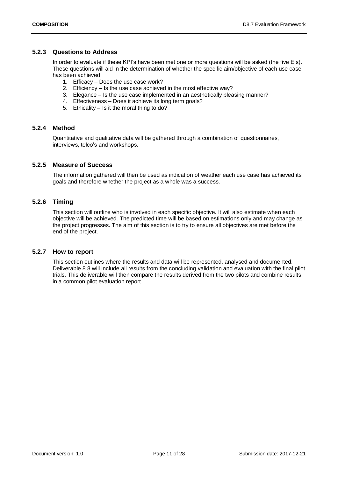#### <span id="page-10-0"></span>**5.2.3 Questions to Address**

In order to evaluate if these KPI's have been met one or more questions will be asked (the five E's). These questions will aid in the determination of whether the specific aim/objective of each use case has been achieved:

- 1. Efficacy Does the use case work?
- 2. Efficiency Is the use case achieved in the most effective way?
- 3. Elegance Is the use case implemented in an aesthetically pleasing manner?
- 4. Effectiveness Does it achieve its long term goals?
- 5. Ethicality Is it the moral thing to do?

#### <span id="page-10-1"></span>**5.2.4 Method**

Quantitative and qualitative data will be gathered through a combination of questionnaires, interviews, telco's and workshops.

#### <span id="page-10-2"></span>**5.2.5 Measure of Success**

The information gathered will then be used as indication of weather each use case has achieved its goals and therefore whether the project as a whole was a success.

#### <span id="page-10-3"></span>**5.2.6 Timing**

This section will outline who is involved in each specific objective. It will also estimate when each objective will be achieved. The predicted time will be based on estimations only and may change as the project progresses. The aim of this section is to try to ensure all objectives are met before the end of the project.

#### <span id="page-10-4"></span>**5.2.7 How to report**

This section outlines where the results and data will be represented, analysed and documented. Deliverable 8.8 will include all results from the concluding validation and evaluation with the final pilot trials. This deliverable will then compare the results derived from the two pilots and combine results in a common pilot evaluation report.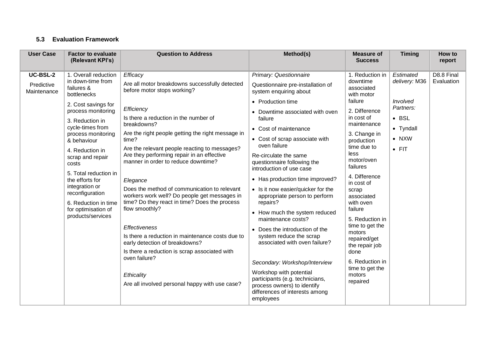## **5.3 Evaluation Framework**

<span id="page-11-0"></span>

| <b>User Case</b>                      | <b>Factor to evaluate</b><br>(Relevant KPI's)                                                                                                                                                                                                                                                                                                                                                        | <b>Question to Address</b>                                                                                                                                                                                                                                                                                                                                                                                                                                                                                                                                                                                                                                                                                                                                                                         | Method(s)                                                                                                                                                                                                                                                                                                                                                                                                                                                                                                                                                                                                                                                                                                                                                                       | <b>Measure of</b><br><b>Success</b>                                                                                                                                                                                                                                                                                                                                                                                                 | <b>Timing</b>                                                                                                       | How to<br>report         |
|---------------------------------------|------------------------------------------------------------------------------------------------------------------------------------------------------------------------------------------------------------------------------------------------------------------------------------------------------------------------------------------------------------------------------------------------------|----------------------------------------------------------------------------------------------------------------------------------------------------------------------------------------------------------------------------------------------------------------------------------------------------------------------------------------------------------------------------------------------------------------------------------------------------------------------------------------------------------------------------------------------------------------------------------------------------------------------------------------------------------------------------------------------------------------------------------------------------------------------------------------------------|---------------------------------------------------------------------------------------------------------------------------------------------------------------------------------------------------------------------------------------------------------------------------------------------------------------------------------------------------------------------------------------------------------------------------------------------------------------------------------------------------------------------------------------------------------------------------------------------------------------------------------------------------------------------------------------------------------------------------------------------------------------------------------|-------------------------------------------------------------------------------------------------------------------------------------------------------------------------------------------------------------------------------------------------------------------------------------------------------------------------------------------------------------------------------------------------------------------------------------|---------------------------------------------------------------------------------------------------------------------|--------------------------|
| UC-BSL-2<br>Predictive<br>Maintenance | 1. Overall reduction<br>in down-time from<br>failures &<br>bottlenecks<br>2. Cost savings for<br>process monitoring<br>3. Reduction in<br>cycle-times from<br>process monitoring<br>& behaviour<br>4. Reduction in<br>scrap and repair<br>costs<br>5. Total reduction in<br>the efforts for<br>integration or<br>reconfiguration<br>6. Reduction in time<br>for optimisation of<br>products/services | Efficacy<br>Are all motor breakdowns successfully detected<br>before motor stops working?<br>Efficiency<br>Is there a reduction in the number of<br>breakdowns?<br>Are the right people getting the right message in<br>time?<br>Are the relevant people reacting to messages?<br>Are they performing repair in an effective<br>manner in order to reduce downtime?<br>Elegance<br>Does the method of communication to relevant<br>workers work well? Do people get messages in<br>time? Do they react in time? Does the process<br>flow smoothly?<br><b>Effectiveness</b><br>Is there a reduction in maintenance costs due to<br>early detection of breakdowns?<br>Is there a reduction is scrap associated with<br>oven failure?<br>Ethicality<br>Are all involved personal happy with use case? | Primary: Questionnaire<br>Questionnaire pre-installation of<br>system enquiring about<br>• Production time<br>• Downtime associated with oven<br>failure<br>• Cost of maintenance<br>• Cost of scrap associate with<br>oven failure<br>Re-circulate the same<br>questionnaire following the<br>introduction of use case<br>• Has production time improved?<br>• Is it now easier/quicker for the<br>appropriate person to perform<br>repairs?<br>• How much the system reduced<br>maintenance costs?<br>• Does the introduction of the<br>system reduce the scrap<br>associated with oven failure?<br>Secondary: Workshop/Interview<br>Workshop with potential<br>participants (e.g. technicians,<br>process owners) to identify<br>differences of interests among<br>employees | 1. Reduction in<br>downtime<br>associated<br>with motor<br>failure<br>2. Difference<br>in cost of<br>maintenance<br>3. Change in<br>production<br>time due to<br>less<br>motor/oven<br>failures<br>4. Difference<br>in cost of<br>scrap<br>associated<br>with oven<br>failure<br>5. Reduction in<br>time to get the<br>motors<br>repaired/get<br>the repair job<br>done<br>6. Reduction in<br>time to get the<br>motors<br>repaired | Estimated<br>delivery: M36<br>Involved<br>Partners:<br>$\bullet$ BSL<br>• Tyndall<br>$\bullet$ NXW<br>$\bullet$ FIT | D8.8 Final<br>Evaluation |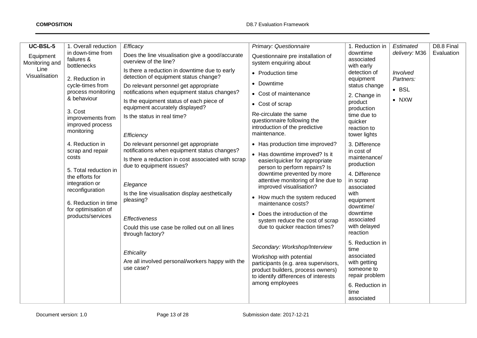| UC-BSL-5                    | 1. Overall reduction                                                                                                                                                                                                                                                                                                                                           | Efficacy                                                                                                                                                                                                                                                                                                                                                                                                                                                                                                                                                                                                                                                                                                                                        | Primary: Questionnaire                                                                                                                                                                                                                                                                                                                                                                                                                                                                                                                                                                                                                                                                                                                                                                          | 1. Reduction in                                                                                                                                                                                                                                                                                                                                                                                                                                                                              | Estimated                                               | D8.8 Final |
|-----------------------------|----------------------------------------------------------------------------------------------------------------------------------------------------------------------------------------------------------------------------------------------------------------------------------------------------------------------------------------------------------------|-------------------------------------------------------------------------------------------------------------------------------------------------------------------------------------------------------------------------------------------------------------------------------------------------------------------------------------------------------------------------------------------------------------------------------------------------------------------------------------------------------------------------------------------------------------------------------------------------------------------------------------------------------------------------------------------------------------------------------------------------|-------------------------------------------------------------------------------------------------------------------------------------------------------------------------------------------------------------------------------------------------------------------------------------------------------------------------------------------------------------------------------------------------------------------------------------------------------------------------------------------------------------------------------------------------------------------------------------------------------------------------------------------------------------------------------------------------------------------------------------------------------------------------------------------------|----------------------------------------------------------------------------------------------------------------------------------------------------------------------------------------------------------------------------------------------------------------------------------------------------------------------------------------------------------------------------------------------------------------------------------------------------------------------------------------------|---------------------------------------------------------|------------|
| Equipment<br>Monitoring and | in down-time from<br>failures &                                                                                                                                                                                                                                                                                                                                | Does the line visualisation give a good/accurate<br>overview of the line?                                                                                                                                                                                                                                                                                                                                                                                                                                                                                                                                                                                                                                                                       | Questionnaire pre installation of<br>system enquiring about                                                                                                                                                                                                                                                                                                                                                                                                                                                                                                                                                                                                                                                                                                                                     | downtime<br>associated                                                                                                                                                                                                                                                                                                                                                                                                                                                                       | delivery: M36                                           | Evaluation |
| Line<br>Visualisation       | bottlenecks<br>2. Reduction in<br>cycle-times from<br>process monitoring<br>& behaviour<br>3. Cost<br>improvements from<br>improved process<br>monitoring<br>4. Reduction in<br>scrap and repair<br>costs<br>5. Total reduction in<br>the efforts for<br>integration or<br>reconfiguration<br>6. Reduction in time<br>for optimisation of<br>products/services | Is there a reduction in downtime due to early<br>detection of equipment status change?<br>Do relevant personnel get appropriate<br>notifications when equipment status changes?<br>Is the equipment status of each piece of<br>equipment accurately displayed?<br>Is the status in real time?<br>Efficiency<br>Do relevant personnel get appropriate<br>notifications when equipment status changes?<br>Is there a reduction in cost associated with scrap<br>due to equipment issues?<br>Elegance<br>Is the line visualisation display aesthetically<br>pleasing?<br><b>Effectiveness</b><br>Could this use case be rolled out on all lines<br>through factory?<br>Ethicality<br>Are all involved personal/workers happy with the<br>use case? | • Production time<br>• Downtime<br>• Cost of maintenance<br>• Cost of scrap<br>Re-circulate the same<br>questionnaire following the<br>introduction of the predictive<br>maintenance.<br>• Has production time improved?<br>• Has downtime improved? Is it<br>easier/quicker for appropriate<br>person to perform repairs? Is<br>downtime prevented by more<br>attentive monitoring of line due to<br>improved visualisation?<br>• How much the system reduced<br>maintenance costs?<br>• Does the introduction of the<br>system reduce the cost of scrap<br>due to quicker reaction times?<br>Secondary: Workshop/Interview<br>Workshop with potential<br>participants (e.g. area supervisors,<br>product builders, process owners)<br>to identify differences of interests<br>among employees | with early<br>detection of<br>equipment<br>status change<br>2. Change in<br>product<br>production<br>time due to<br>quicker<br>reaction to<br>tower lights<br>3. Difference<br>in cost of<br>maintenance/<br>production<br>4. Difference<br>in scrap<br>associated<br>with<br>equipment<br>downtime/<br>downtime<br>associated<br>with delayed<br>reaction<br>5. Reduction in<br>time<br>associated<br>with getting<br>someone to<br>repair problem<br>6. Reduction in<br>time<br>associated | Involved<br>Partners:<br>$\bullet$ BSL<br>$\bullet$ NXW |            |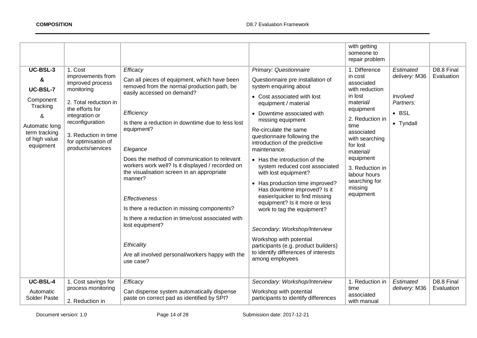|                                                                                                                     |                                                                                                                                                                                                          |                                                                                                                                                                                                                                                                                                                                                                                                                                                                                                                                    |                                                                                                                                                                                                                                                                                                                                                                                                                                                                                                                                                                                 | with getting<br>someone to<br>repair problem                                                                                                                                                                                                              |                                                                             |                          |
|---------------------------------------------------------------------------------------------------------------------|----------------------------------------------------------------------------------------------------------------------------------------------------------------------------------------------------------|------------------------------------------------------------------------------------------------------------------------------------------------------------------------------------------------------------------------------------------------------------------------------------------------------------------------------------------------------------------------------------------------------------------------------------------------------------------------------------------------------------------------------------|---------------------------------------------------------------------------------------------------------------------------------------------------------------------------------------------------------------------------------------------------------------------------------------------------------------------------------------------------------------------------------------------------------------------------------------------------------------------------------------------------------------------------------------------------------------------------------|-----------------------------------------------------------------------------------------------------------------------------------------------------------------------------------------------------------------------------------------------------------|-----------------------------------------------------------------------------|--------------------------|
| UC-BSL-3                                                                                                            | 1. Cost                                                                                                                                                                                                  | Efficacy                                                                                                                                                                                                                                                                                                                                                                                                                                                                                                                           | Primary: Questionnaire                                                                                                                                                                                                                                                                                                                                                                                                                                                                                                                                                          | 1. Difference                                                                                                                                                                                                                                             | Estimated                                                                   | D8.8 Final               |
| &<br><b>UC-BSL-7</b><br>Component<br>Tracking<br>&<br>Automatic long<br>term tracking<br>of high value<br>equipment | improvements from<br>improved process<br>monitoring<br>2. Total reduction in<br>the efforts for<br>integration or<br>reconfiguration<br>3. Reduction in time<br>for optimisation of<br>products/services | Can all pieces of equipment, which have been<br>removed from the normal production path, be<br>easily accessed on demand?<br>Efficiency<br>Is there a reduction in downtime due to less lost<br>equipment?<br>Elegance<br>Does the method of communication to relevant<br>workers work well? Is it displayed / recorded on<br>the visualisation screen in an appropriate<br>manner?<br><b>Effectiveness</b><br>Is there a reduction in missing components?<br>Is there a reduction in time/cost associated with<br>lost equipment? | Questionnaire pre installation of<br>system enquiring about<br>• Cost associated with lost<br>equipment / material<br>• Downtime associated with<br>missing equipment<br>Re-circulate the same<br>questionnaire following the<br>introduction of the predictive<br>maintenance.<br>• Has the introduction of the<br>system reduced cost associated<br>with lost equipment?<br>• Has production time improved?<br>Has downtime improved? Is it<br>easier/quicker to find missing<br>equipment? Is it more or less<br>work to tag the equipment?<br>Secondary: Workshop/Interview | in cost<br>associated<br>with reduction<br>in lost<br>material/<br>equipment<br>2. Reduction in<br>time<br>associated<br>with searching<br>for lost<br>material/<br>equipment<br>3. Reduction in<br>labour hours<br>searching for<br>missing<br>equipment | delivery: M36<br><b>Involved</b><br>Partners:<br>$\bullet$ BSL<br>• Tyndall | Evaluation               |
| UC-BSL-4<br>Automatic                                                                                               | 1. Cost savings for<br>process monitoring                                                                                                                                                                | Ethicality<br>Are all involved personal/workers happy with the<br>use case?<br>Efficacy<br>Can dispense system automatically dispense                                                                                                                                                                                                                                                                                                                                                                                              | Workshop with potential<br>participants (e.g. product builders)<br>to identify differences of interests<br>among employees<br>Secondary: Workshop/Interview<br>Workshop with potential                                                                                                                                                                                                                                                                                                                                                                                          | 1. Reduction in<br>time                                                                                                                                                                                                                                   | Estimated<br>delivery: M36                                                  | D8.8 Final<br>Evaluation |
| <b>Solder Paste</b>                                                                                                 | 2. Reduction in                                                                                                                                                                                          | paste on correct pad as identified by SPI?                                                                                                                                                                                                                                                                                                                                                                                                                                                                                         | participants to identify differences                                                                                                                                                                                                                                                                                                                                                                                                                                                                                                                                            | associated<br>with manual                                                                                                                                                                                                                                 |                                                                             |                          |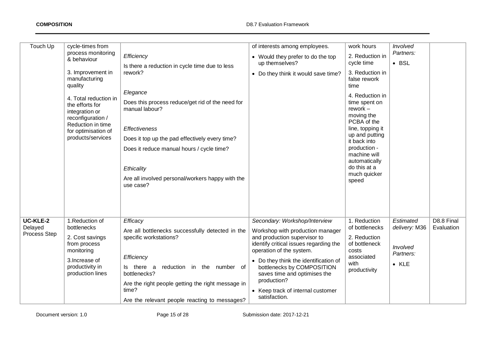| Touch Up                                   | cycle-times from<br>process monitoring<br>& behaviour<br>3. Improvement in<br>manufacturing<br>quality<br>4. Total reduction in<br>the efforts for<br>integration or<br>reconfiguration /<br>Reduction in time<br>for optimisation of<br>products/services | Efficiency<br>Is there a reduction in cycle time due to less<br>rework?<br>Elegance<br>Does this process reduce/get rid of the need for<br>manual labour?<br><b>Effectiveness</b><br>Does it top up the pad effectively every time?<br>Does it reduce manual hours / cycle time?<br>Ethicality<br>Are all involved personal/workers happy with the<br>use case? | of interests among employees.<br>• Would they prefer to do the top<br>up themselves?<br>• Do they think it would save time?                                                                                                                                                                                                                         | work hours<br>2. Reduction in<br>cycle time<br>3. Reduction in<br>false rework<br>time<br>4. Reduction in<br>time spent on<br>rework-<br>moving the<br>PCBA of the<br>line, topping it<br>up and putting<br>it back into<br>production -<br>machine will<br>automatically<br>do this at a<br>much quicker<br>speed | Involved<br>Partners:<br>$\bullet$ BSL                               |                          |
|--------------------------------------------|------------------------------------------------------------------------------------------------------------------------------------------------------------------------------------------------------------------------------------------------------------|-----------------------------------------------------------------------------------------------------------------------------------------------------------------------------------------------------------------------------------------------------------------------------------------------------------------------------------------------------------------|-----------------------------------------------------------------------------------------------------------------------------------------------------------------------------------------------------------------------------------------------------------------------------------------------------------------------------------------------------|--------------------------------------------------------------------------------------------------------------------------------------------------------------------------------------------------------------------------------------------------------------------------------------------------------------------|----------------------------------------------------------------------|--------------------------|
| <b>UC-KLE-2</b><br>Delayed<br>Process Step | 1. Reduction of<br>bottlenecks<br>2. Cost savings<br>from process<br>monitoring<br>3. Increase of<br>productivity in<br>production lines                                                                                                                   | Efficacy<br>Are all bottlenecks successfully detected in the<br>specific workstations?<br>Efficiency<br>Is there a<br>reduction in the number of<br>bottlenecks?<br>Are the right people getting the right message in<br>time?<br>Are the relevant people reacting to messages?                                                                                 | Secondary: Workshop/Interview<br>Workshop with production manager<br>and production supervisor to<br>identify critical issues regarding the<br>operation of the system.<br>• Do they think the identification of<br>bottlenecks by COMPOSITION<br>saves time and optimises the<br>production?<br>• Keep track of internal customer<br>satisfaction. | 1. Reduction<br>of bottlenecks<br>2. Reduction<br>of bottleneck<br>costs<br>associated<br>with<br>productivity                                                                                                                                                                                                     | Estimated<br>delivery: M36<br>Involved<br>Partners:<br>$\bullet$ KLE | D8.8 Final<br>Evaluation |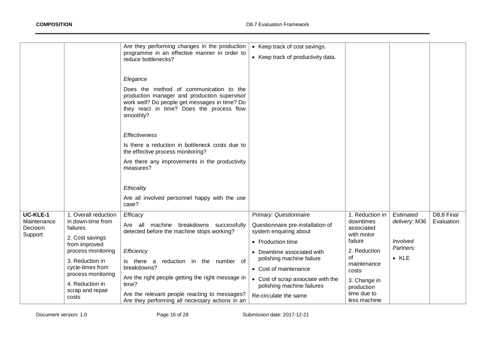|                                                       |                                                                                           | Are they performing changes in the production<br>programme in an effective manner in order to<br>reduce bottlenecks?                                                                                           | • Keep track of cost savings.<br>• Keep track of productivity data.                                        |                                                                     |                                        |                          |
|-------------------------------------------------------|-------------------------------------------------------------------------------------------|----------------------------------------------------------------------------------------------------------------------------------------------------------------------------------------------------------------|------------------------------------------------------------------------------------------------------------|---------------------------------------------------------------------|----------------------------------------|--------------------------|
|                                                       |                                                                                           | Elegance<br>Does the method of communication to the<br>production manager and production supervisor<br>work well? Do people get messages in time? Do<br>they react in time? Does the process flow<br>smoothly? |                                                                                                            |                                                                     |                                        |                          |
|                                                       |                                                                                           | <b>Effectiveness</b><br>Is there a reduction in bottleneck costs due to                                                                                                                                        |                                                                                                            |                                                                     |                                        |                          |
|                                                       |                                                                                           | the effective process monitoring?<br>Are there any improvements in the productivity<br>measures?                                                                                                               |                                                                                                            |                                                                     |                                        |                          |
|                                                       |                                                                                           | Ethicality                                                                                                                                                                                                     |                                                                                                            |                                                                     |                                        |                          |
|                                                       |                                                                                           | Are all involved personnel happy with the use<br>case?                                                                                                                                                         |                                                                                                            |                                                                     |                                        |                          |
| <b>UC-KLE-1</b><br>Maintenance<br>Decision<br>Support | 1. Overall reduction<br>in down-time from<br>failures<br>2. Cost savings<br>from improved | Efficacy<br>machine breakdowns successfully<br>Are all<br>detected before the machine stops working?                                                                                                           | Primary: Questionnaire<br>Questionnaire pre-installation of<br>system enquiring about<br>• Production time | 1. Reduction in<br>downtimes<br>associated<br>with motor<br>failure | Estimated<br>delivery: M36<br>Involved | D8.8 Final<br>Evaluation |
|                                                       | process monitoring<br>3. Reduction in<br>cycle-times from                                 | Efficiency<br>reduction in the number of<br>Is there a<br>breakdowns?                                                                                                                                          | • Downtime associated with<br>polishing machine failure<br>• Cost of maintenance                           | 2. Reduction<br>οf<br>maintenance<br>costs                          | Partners:<br>$\bullet$ KLE             |                          |
|                                                       | process monitoring<br>4. Reduction in<br>scrap and repair<br>costs                        | Are the right people getting the right message in<br>time?<br>Are the relevant people reacting to messages?<br>Are they performing all necessary actions in an                                                 | • Cost of scrap associate with the<br>polishing machine failures<br>Re-circulate the same                  | 3. Change in<br>production<br>time due to<br>less machine           |                                        |                          |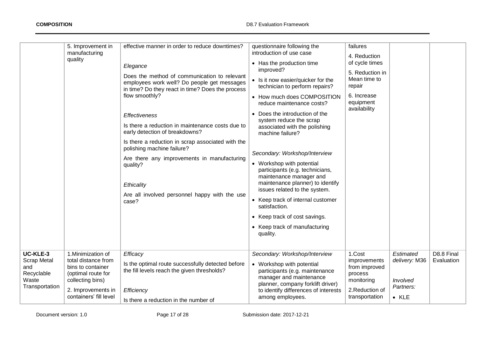|                                                                                | 5. Improvement in<br>manufacturing<br>quality                                                                                                            | effective manner in order to reduce downtimes?<br>Elegance<br>Does the method of communication to relevant<br>employees work well? Do people get messages<br>in time? Do they react in time? Does the process<br>flow smoothly?<br>Effectiveness<br>Is there a reduction in maintenance costs due to<br>early detection of breakdowns?<br>Is there a reduction in scrap associated with the<br>polishing machine failure?<br>Are there any improvements in manufacturing<br>quality?<br>Ethicality<br>Are all involved personnel happy with the use<br>case? | questionnaire following the<br>introduction of use case<br>• Has the production time<br>improved?<br>• Is it now easier/quicker for the<br>technician to perform repairs?<br>• How much does COMPOSITION<br>reduce maintenance costs?<br>• Does the introduction of the<br>system reduce the scrap<br>associated with the polishing<br>machine failure?<br>Secondary: Workshop/Interview<br>• Workshop with potential<br>participants (e.g. technicians,<br>maintenance manager and<br>maintenance planner) to identify<br>issues related to the system.<br>• Keep track of internal customer<br>satisfaction.<br>• Keep track of cost savings.<br>• Keep track of manufacturing<br>quality. | failures<br>4. Reduction<br>of cycle times<br>5. Reduction in<br>Mean time to<br>repair<br>6. Increase<br>equipment<br>availability |                                                                      |                          |
|--------------------------------------------------------------------------------|----------------------------------------------------------------------------------------------------------------------------------------------------------|--------------------------------------------------------------------------------------------------------------------------------------------------------------------------------------------------------------------------------------------------------------------------------------------------------------------------------------------------------------------------------------------------------------------------------------------------------------------------------------------------------------------------------------------------------------|----------------------------------------------------------------------------------------------------------------------------------------------------------------------------------------------------------------------------------------------------------------------------------------------------------------------------------------------------------------------------------------------------------------------------------------------------------------------------------------------------------------------------------------------------------------------------------------------------------------------------------------------------------------------------------------------|-------------------------------------------------------------------------------------------------------------------------------------|----------------------------------------------------------------------|--------------------------|
| UC-KLE-3<br><b>Scrap Metal</b><br>and<br>Recyclable<br>Waste<br>Transportation | 1. Minimization of<br>total distance from<br>bins to container<br>(optimal route for<br>collecting bins)<br>2. Improvements in<br>containers' fill level | Efficacy<br>Is the optimal route successfully detected before<br>the fill levels reach the given thresholds?<br>Efficiency<br>Is there a reduction in the number of                                                                                                                                                                                                                                                                                                                                                                                          | Secondary: Workshop/Interview<br>• Workshop with potential<br>participants (e.g. maintenance<br>manager and maintenance<br>planner, company forklift driver)<br>to identify differences of interests<br>among employees.                                                                                                                                                                                                                                                                                                                                                                                                                                                                     | 1.Cost<br>improvements<br>from improved<br>process<br>monitoring<br>2. Reduction of<br>transportation                               | Estimated<br>delivery: M36<br>Involved<br>Partners:<br>$\bullet$ KLE | D8.8 Final<br>Evaluation |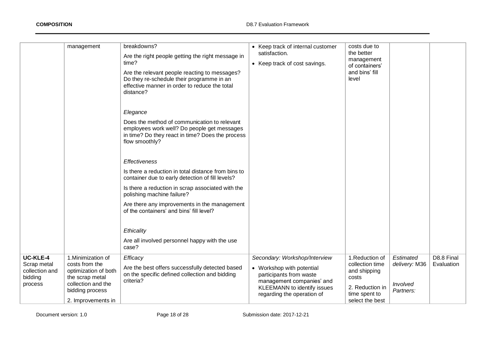|                                                                 | management                                                                                                                                     | breakdowns?<br>Are the right people getting the right message in<br>time?<br>Are the relevant people reacting to messages?<br>Do they re-schedule their programme in an<br>effective manner in order to reduce the total<br>distance?<br>Elegance<br>Does the method of communication to relevant<br>employees work well? Do people get messages<br>in time? Do they react in time? Does the process<br>flow smoothly?<br><b>Effectiveness</b><br>Is there a reduction in total distance from bins to<br>container due to early detection of fill levels?<br>Is there a reduction in scrap associated with the<br>polishing machine failure?<br>Are there any improvements in the management<br>of the containers' and bins' fill level? | • Keep track of internal customer<br>satisfaction.<br>• Keep track of cost savings.                                                                                             | costs due to<br>the better<br>management<br>of containers'<br>and bins' fill<br>level                             |                                                     |                          |
|-----------------------------------------------------------------|------------------------------------------------------------------------------------------------------------------------------------------------|------------------------------------------------------------------------------------------------------------------------------------------------------------------------------------------------------------------------------------------------------------------------------------------------------------------------------------------------------------------------------------------------------------------------------------------------------------------------------------------------------------------------------------------------------------------------------------------------------------------------------------------------------------------------------------------------------------------------------------------|---------------------------------------------------------------------------------------------------------------------------------------------------------------------------------|-------------------------------------------------------------------------------------------------------------------|-----------------------------------------------------|--------------------------|
|                                                                 |                                                                                                                                                | Ethicality<br>Are all involved personnel happy with the use<br>case?                                                                                                                                                                                                                                                                                                                                                                                                                                                                                                                                                                                                                                                                     |                                                                                                                                                                                 |                                                                                                                   |                                                     |                          |
| UC-KLE-4<br>Scrap metal<br>collection and<br>bidding<br>process | 1. Minimization of<br>costs from the<br>optimization of both<br>the scrap metal<br>collection and the<br>bidding process<br>2. Improvements in | Efficacy<br>Are the best offers successfully detected based<br>on the specific defined collection and bidding<br>criteria?                                                                                                                                                                                                                                                                                                                                                                                                                                                                                                                                                                                                               | Secondary: Workshop/Interview<br>• Workshop with potential<br>participants from waste<br>management companies' and<br>KLEEMANN to identify issues<br>regarding the operation of | 1.Reduction of<br>collection time<br>and shipping<br>costs<br>2. Reduction in<br>time spent to<br>select the best | Estimated<br>delivery: M36<br>Involved<br>Partners: | D8.8 Final<br>Evaluation |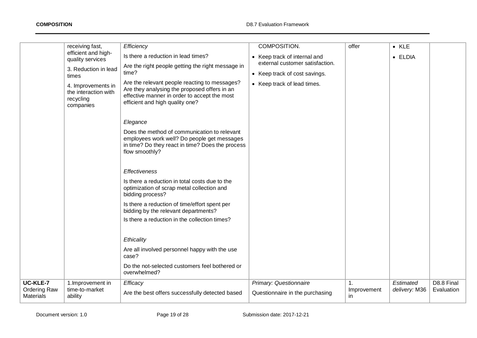|                                                     | receiving fast,<br>efficient and high-<br>quality services<br>3. Reduction in lead<br>times<br>4. Improvements in<br>the interaction with<br>recycling<br>companies | Efficiency<br>Is there a reduction in lead times?<br>Are the right people getting the right message in<br>time?<br>Are the relevant people reacting to messages?<br>Are they analysing the proposed offers in an<br>effective manner in order to accept the most<br>efficient and high quality one? | COMPOSITION.<br>• Keep track of internal and<br>external customer satisfaction.<br>• Keep track of cost savings.<br>• Keep track of lead times. | offer                    | $\bullet$ KLE<br>• ELDIA   |                          |
|-----------------------------------------------------|---------------------------------------------------------------------------------------------------------------------------------------------------------------------|-----------------------------------------------------------------------------------------------------------------------------------------------------------------------------------------------------------------------------------------------------------------------------------------------------|-------------------------------------------------------------------------------------------------------------------------------------------------|--------------------------|----------------------------|--------------------------|
|                                                     |                                                                                                                                                                     | Elegance<br>Does the method of communication to relevant<br>employees work well? Do people get messages<br>in time? Do they react in time? Does the process<br>flow smoothly?                                                                                                                       |                                                                                                                                                 |                          |                            |                          |
|                                                     |                                                                                                                                                                     | <b>Effectiveness</b><br>Is there a reduction in total costs due to the<br>optimization of scrap metal collection and<br>bidding process?<br>Is there a reduction of time/effort spent per<br>bidding by the relevant departments?                                                                   |                                                                                                                                                 |                          |                            |                          |
|                                                     |                                                                                                                                                                     | Is there a reduction in the collection times?<br>Ethicality<br>Are all involved personnel happy with the use<br>case?<br>Do the not-selected customers feel bothered or<br>overwhelmed?                                                                                                             |                                                                                                                                                 |                          |                            |                          |
| UC-KLE-7<br><b>Ordering Raw</b><br><b>Materials</b> | 1. Improvement in<br>time-to-market<br>ability                                                                                                                      | Efficacy<br>Are the best offers successfully detected based                                                                                                                                                                                                                                         | Primary: Questionnaire<br>Questionnaire in the purchasing                                                                                       | 1.<br>Improvement<br>in. | Estimated<br>delivery: M36 | D8.8 Final<br>Evaluation |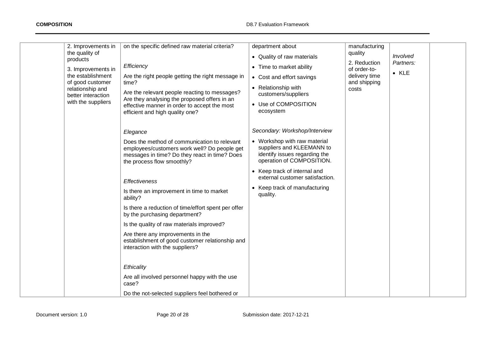| 2. Improvements in<br>the quality of<br>products<br>3. Improvements in<br>the establishment<br>of good customer<br>relationship and<br>better interaction<br>with the suppliers | on the specific defined raw material criteria?<br>Efficiency<br>Are the right people getting the right message in<br>time?<br>Are the relevant people reacting to messages?<br>Are they analysing the proposed offers in an<br>effective manner in order to accept the most<br>efficient and high quality one?<br>Elegance                                                                                                                                                                                                                                                                                                                             | department about<br>• Quality of raw materials<br>• Time to market ability<br>• Cost and effort savings<br>• Relationship with<br>customers/suppliers<br>• Use of COMPOSITION<br>ecosystem<br>Secondary: Workshop/Interview             | manufacturing<br>quality<br>2. Reduction<br>of order-to-<br>delivery time<br>and shipping<br>costs | Involved<br>Partners:<br>$\bullet$ KLE |  |
|---------------------------------------------------------------------------------------------------------------------------------------------------------------------------------|--------------------------------------------------------------------------------------------------------------------------------------------------------------------------------------------------------------------------------------------------------------------------------------------------------------------------------------------------------------------------------------------------------------------------------------------------------------------------------------------------------------------------------------------------------------------------------------------------------------------------------------------------------|-----------------------------------------------------------------------------------------------------------------------------------------------------------------------------------------------------------------------------------------|----------------------------------------------------------------------------------------------------|----------------------------------------|--|
|                                                                                                                                                                                 | Does the method of communication to relevant<br>employees/customers work well? Do people get<br>messages in time? Do they react in time? Does<br>the process flow smoothly?<br><b>Effectiveness</b><br>Is there an improvement in time to market<br>ability?<br>Is there a reduction of time/effort spent per offer<br>by the purchasing department?<br>Is the quality of raw materials improved?<br>Are there any improvements in the<br>establishment of good customer relationship and<br>interaction with the suppliers?<br>Ethicality<br>Are all involved personnel happy with the use<br>case?<br>Do the not-selected suppliers feel bothered or | • Workshop with raw material<br>suppliers and KLEEMANN to<br>identify issues regarding the<br>operation of COMPOSITION.<br>• Keep track of internal and<br>external customer satisfaction.<br>• Keep track of manufacturing<br>quality. |                                                                                                    |                                        |  |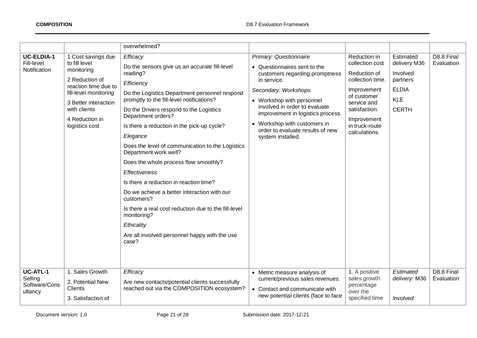|                                                        |                                                                                                                                                                                                  | overwhelmed?                                                                                                                                                                                                                                                                                                                                                                                                                                                                                                                                                                                                                                                                                                     |                                                                                                                                                                                                                                                                                                                             |                                                                                                                                                                                     |                                                                                                 |                          |
|--------------------------------------------------------|--------------------------------------------------------------------------------------------------------------------------------------------------------------------------------------------------|------------------------------------------------------------------------------------------------------------------------------------------------------------------------------------------------------------------------------------------------------------------------------------------------------------------------------------------------------------------------------------------------------------------------------------------------------------------------------------------------------------------------------------------------------------------------------------------------------------------------------------------------------------------------------------------------------------------|-----------------------------------------------------------------------------------------------------------------------------------------------------------------------------------------------------------------------------------------------------------------------------------------------------------------------------|-------------------------------------------------------------------------------------------------------------------------------------------------------------------------------------|-------------------------------------------------------------------------------------------------|--------------------------|
| <b>UC-ELDIA-1</b><br>Fill-level<br>Notification        | 1 Cost savings due<br>to fill level<br>monitoring<br>2 Reduction of<br>reaction time due to<br>fill-level monitoring<br>3 Better interaction<br>with clients<br>4 Reduction in<br>logistics cost | Efficacy<br>Do the sensors give us an accurate fill-level<br>reading?<br>Efficiency<br>Do the Logistics Department personnel respond<br>promptly to the fill-level notifications?<br>Do the Drivers respond to the Logistics<br>Department orders?<br>Is there a reduction in the pick-up cycle?<br>Elegance<br>Does the level of communication to the Logistics<br>Department work well?<br>Does the whole process flow smoothly?<br><b>Effectiveness</b><br>Is there a reduction in reaction time?<br>Do we achieve a better interaction with our<br>customers?<br>Is there a real cost reduction due to the fill-level<br>monitoring?<br>Ethicality<br>Are all involved personnel happy with the use<br>case? | Primary: Questionnaire<br>• Questionnaires sent to the<br>customers regarding promptness<br>in service.<br>Secondary: Workshops<br>• Workshop with personnel<br>involved in order to evaluate<br>improvement in logistics process.<br>• Workshop with customers in<br>order to evaluate results of new<br>system installed. | Reduction in<br>collection cost<br>Reduction of<br>collection time.<br>Improvement<br>of customer<br>service and<br>satisfaction.<br>Improvement<br>in truck-route<br>calculations. | Estimated<br>delivery M36<br>Involved<br>partners<br><b>ELDIA</b><br><b>KLE</b><br><b>CERTH</b> | D8.8 Final<br>Evaluation |
| <b>UC-ATL-1</b><br>Selling<br>Software/Cons<br>ultancy | 1. Sales Growth<br>2. Potential New<br>Clients<br>3. Satisfaction of                                                                                                                             | Efficacy<br>Are new contacts/potential clients successfully<br>reached out via the COMPOSITION ecosystem?                                                                                                                                                                                                                                                                                                                                                                                                                                                                                                                                                                                                        | • Metric measure analysis of<br>current/previous sales revenues.<br>• Contact and communicate with<br>new potential clients (face to face                                                                                                                                                                                   | 1. A positive<br>sales growth<br>percentage<br>over the<br>specified time                                                                                                           | Estimated<br>delivery: M36<br>Involved                                                          | D8.8 Final<br>Evaluation |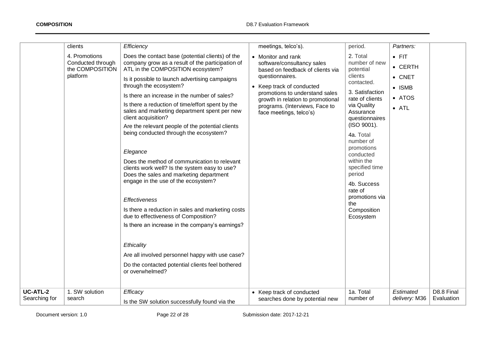|                                  | clients                                                           | Efficiency                                                                                                                                                                                                                                                                                                                                                                                                                                                                                                                                                                                                                                                                                                                                                                                                                                                                                                                                                                                                    | meetings, telco's).                                                                                                                                                                                                                                                      | period.                                                                                                                                                                                                                                                                                                                                          | Partners:                                                                       |                          |
|----------------------------------|-------------------------------------------------------------------|---------------------------------------------------------------------------------------------------------------------------------------------------------------------------------------------------------------------------------------------------------------------------------------------------------------------------------------------------------------------------------------------------------------------------------------------------------------------------------------------------------------------------------------------------------------------------------------------------------------------------------------------------------------------------------------------------------------------------------------------------------------------------------------------------------------------------------------------------------------------------------------------------------------------------------------------------------------------------------------------------------------|--------------------------------------------------------------------------------------------------------------------------------------------------------------------------------------------------------------------------------------------------------------------------|--------------------------------------------------------------------------------------------------------------------------------------------------------------------------------------------------------------------------------------------------------------------------------------------------------------------------------------------------|---------------------------------------------------------------------------------|--------------------------|
|                                  | 4. Promotions<br>Conducted through<br>the COMPOSITION<br>platform | Does the contact base (potential clients) of the<br>company grow as a result of the participation of<br>ATL in the COMPOSITION ecosystem?<br>Is it possible to launch advertising campaigns<br>through the ecosystem?<br>Is there an increase in the number of sales?<br>Is there a reduction of time/effort spent by the<br>sales and marketing department spent per new<br>client acquisition?<br>Are the relevant people of the potential clients<br>being conducted through the ecosystem?<br>Elegance<br>Does the method of communication to relevant<br>clients work well? Is the system easy to use?<br>Does the sales and marketing department<br>engage in the use of the ecosystem?<br><b>Effectiveness</b><br>Is there a reduction in sales and marketing costs<br>due to effectiveness of Composition?<br>Is there an increase in the company's earnings?<br>Ethicality<br>Are all involved personnel happy with use case?<br>Do the contacted potential clients feel bothered<br>or overwhelmed? | • Monitor and rank<br>software/consultancy sales<br>based on feedback of clients via<br>questionnaires.<br>• Keep track of conducted<br>promotions to understand sales<br>growth in relation to promotional<br>programs. (Interviews, Face to<br>face meetings, telco's) | 2. Total<br>number of new<br>potential<br>clients<br>contacted.<br>3. Satisfaction<br>rate of clients<br>via Quality<br>Assurance<br>questionnaires<br>(ISO 9001).<br>4a. Total<br>number of<br>promotions<br>conducted<br>within the<br>specified time<br>period<br>4b. Success<br>rate of<br>promotions via<br>the<br>Composition<br>Ecosystem | $\bullet$ FIT<br>• CERTH<br>• CNET<br>$\bullet$ ISMB<br>• ATOS<br>$\bullet$ ATL |                          |
| <b>UC-ATL-2</b><br>Searching for | 1. SW solution<br>search                                          | Efficacy<br>Is the SW solution successfully found via the                                                                                                                                                                                                                                                                                                                                                                                                                                                                                                                                                                                                                                                                                                                                                                                                                                                                                                                                                     | • Keep track of conducted<br>searches done by potential new                                                                                                                                                                                                              | 1a. Total<br>number of                                                                                                                                                                                                                                                                                                                           | Estimated<br>delivery: M36                                                      | D8.8 Final<br>Evaluation |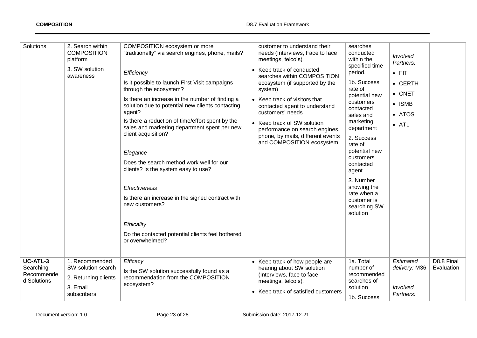| Solutions                                          | 2. Search within<br><b>COMPOSITION</b><br>platform<br>3. SW solution<br>awareness       | COMPOSITION ecosystem or more<br>"traditionally" via search engines, phone, mails?<br>Efficiency<br>Is it possible to launch First Visit campaigns<br>through the ecosystem?<br>Is there an increase in the number of finding a<br>solution due to potential new clients contacting<br>agent?<br>Is there a reduction of time/effort spent by the<br>sales and marketing department spent per new<br>client acquisition?<br>Elegance<br>Does the search method work well for our<br>clients? Is the system easy to use?<br><b>Effectiveness</b><br>Is there an increase in the signed contract with<br>new customers?<br>Ethicality<br>Do the contacted potential clients feel bothered<br>or overwhelmed? | customer to understand their<br>needs (Interviews, Face to face<br>meetings, telco's).<br>• Keep track of conducted<br>searches within COMPOSITION<br>ecosystem (if supported by the<br>system)<br>• Keep track of visitors that<br>contacted agent to understand<br>customers' needs<br>• Keep track of SW solution<br>performance on search engines,<br>phone, by mails, different events<br>and COMPOSITION ecosystem. | searches<br>conducted<br>within the<br>specified time<br>period.<br>1b. Success<br>rate of<br>potential new<br>customers<br>contacted<br>sales and<br>marketing<br>department<br>2. Success<br>rate of<br>potential new<br>customers<br>contacted<br>agent<br>3. Number<br>showing the<br>rate when a<br>customer is<br>searching SW<br>solution | Involved<br>Partners:<br>$\bullet$ FIT<br>• CERTH<br>$\bullet$ CNET<br>$\bullet$ ISMB<br>• ATOS<br>$\bullet$ ATL |                          |
|----------------------------------------------------|-----------------------------------------------------------------------------------------|------------------------------------------------------------------------------------------------------------------------------------------------------------------------------------------------------------------------------------------------------------------------------------------------------------------------------------------------------------------------------------------------------------------------------------------------------------------------------------------------------------------------------------------------------------------------------------------------------------------------------------------------------------------------------------------------------------|---------------------------------------------------------------------------------------------------------------------------------------------------------------------------------------------------------------------------------------------------------------------------------------------------------------------------------------------------------------------------------------------------------------------------|--------------------------------------------------------------------------------------------------------------------------------------------------------------------------------------------------------------------------------------------------------------------------------------------------------------------------------------------------|------------------------------------------------------------------------------------------------------------------|--------------------------|
| UC-ATL-3<br>Searching<br>Recommende<br>d Solutions | 1. Recommended<br>SW solution search<br>2. Returning clients<br>3. Email<br>subscribers | Efficacy<br>Is the SW solution successfully found as a<br>recommendation from the COMPOSITION<br>ecosystem?                                                                                                                                                                                                                                                                                                                                                                                                                                                                                                                                                                                                | • Keep track of how people are<br>hearing about SW solution<br>(Interviews, face to face<br>meetings, telco's).<br>• Keep track of satisfied customers                                                                                                                                                                                                                                                                    | 1a. Total<br>number of<br>recommended<br>searches of<br>solution<br>1b. Success                                                                                                                                                                                                                                                                  | Estimated<br>delivery: M36<br>Involved<br>Partners:                                                              | D8.8 Final<br>Evaluation |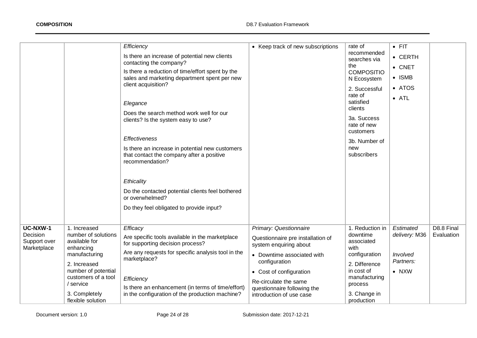|                                                     |                                                                                                                                                                                                     | Efficiency<br>Is there an increase of potential new clients<br>contacting the company?<br>Is there a reduction of time/effort spent by the<br>sales and marketing department spent per new<br>client acquisition?<br>Elegance<br>Does the search method work well for our<br>clients? Is the system easy to use?<br><b>Effectiveness</b><br>Is there an increase in potential new customers<br>that contact the company after a positive<br>recommendation?<br>Ethicality<br>Do the contacted potential clients feel bothered<br>or overwhelmed?<br>Do they feel obligated to provide input? | • Keep track of new subscriptions                                                                                                                                                                                                                   | rate of<br>recommended<br>searches via<br>the<br><b>COMPOSITIO</b><br>N Ecosystem<br>2. Successful<br>rate of<br>satisfied<br>clients<br>3a. Success<br>rate of new<br>customers<br>3b. Number of<br>new<br>subscribers | $\bullet$ FIT<br>$\bullet$ CERTH<br>$\bullet$ CNET<br>$\bullet$ ISMB<br>• ATOS<br>$\bullet$ ATL |                          |
|-----------------------------------------------------|-----------------------------------------------------------------------------------------------------------------------------------------------------------------------------------------------------|----------------------------------------------------------------------------------------------------------------------------------------------------------------------------------------------------------------------------------------------------------------------------------------------------------------------------------------------------------------------------------------------------------------------------------------------------------------------------------------------------------------------------------------------------------------------------------------------|-----------------------------------------------------------------------------------------------------------------------------------------------------------------------------------------------------------------------------------------------------|-------------------------------------------------------------------------------------------------------------------------------------------------------------------------------------------------------------------------|-------------------------------------------------------------------------------------------------|--------------------------|
| UC-NXW-1<br>Decision<br>Support over<br>Marketplace | 1. Increased<br>number of solutions<br>available for<br>enhancing<br>manufacturing<br>2. Increased<br>number of potential<br>customers of a tool<br>/ service<br>3. Completely<br>flexible solution | Efficacy<br>Are specific tools available in the marketplace<br>for supporting decision process?<br>Are any requests for specific analysis tool in the<br>marketplace?<br>Efficiency<br>Is there an enhancement (in terms of time/effort)<br>in the configuration of the production machine?                                                                                                                                                                                                                                                                                                  | Primary: Questionnaire<br>Questionnaire pre installation of<br>system enquiring about<br>• Downtime associated with<br>configuration<br>• Cost of configuration<br>Re-circulate the same<br>questionnaire following the<br>introduction of use case | 1. Reduction in<br>downtime<br>associated<br>with<br>configuration<br>2. Difference<br>in cost of<br>manufacturing<br>process<br>3. Change in<br>production                                                             | Estimated<br>delivery: M36<br>Involved<br>Partners:<br>$\bullet$ NXW                            | D8.8 Final<br>Evaluation |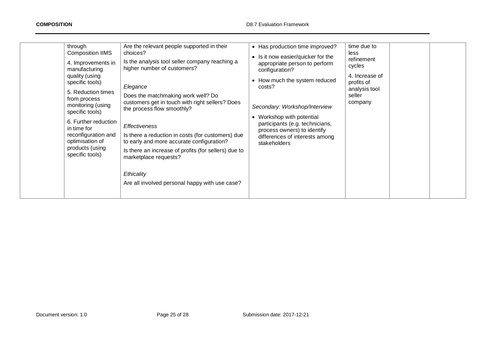| through<br>Are the relevant people supported in their<br><b>Composition IIMS</b><br>choices?<br>Is the analysis tool seller company reaching a<br>4. Improvements in<br>higher number of customers?<br>manufacturing<br>quality (using<br>specific tools)<br>Elegance<br>5. Reduction times<br>Does the matchmaking work well? Do<br>from process<br>customers get in touch with right sellers? Does<br>monitoring (using<br>the process flow smoothly?<br>specific tools)<br>6. Further reduction<br><b>Effectiveness</b><br>in time for<br>reconfiguration and<br>Is there a reduction in costs (for customers) due<br>optimisation of<br>to early and more accurate configuration?<br>products (using<br>Is there an increase of profits (for sellers) due to<br>specific tools)<br>marketplace requests?<br>Ethicality<br>Are all involved personal happy with use case? | • Has production time improved?<br>• Is it now easier/quicker for the<br>appropriate person to perform<br>configuration?<br>• How much the system reduced<br>costs?<br>Secondary: Workshop/Interview<br>• Workshop with potential<br>participants (e.g. technicians,<br>process owners) to identify<br>differences of interests among<br>stakeholders | time due to<br>less<br>refinement<br>cycles<br>4. Increase of<br>profits of<br>analysis tool<br>seller<br>company |
|------------------------------------------------------------------------------------------------------------------------------------------------------------------------------------------------------------------------------------------------------------------------------------------------------------------------------------------------------------------------------------------------------------------------------------------------------------------------------------------------------------------------------------------------------------------------------------------------------------------------------------------------------------------------------------------------------------------------------------------------------------------------------------------------------------------------------------------------------------------------------|-------------------------------------------------------------------------------------------------------------------------------------------------------------------------------------------------------------------------------------------------------------------------------------------------------------------------------------------------------|-------------------------------------------------------------------------------------------------------------------|
|------------------------------------------------------------------------------------------------------------------------------------------------------------------------------------------------------------------------------------------------------------------------------------------------------------------------------------------------------------------------------------------------------------------------------------------------------------------------------------------------------------------------------------------------------------------------------------------------------------------------------------------------------------------------------------------------------------------------------------------------------------------------------------------------------------------------------------------------------------------------------|-------------------------------------------------------------------------------------------------------------------------------------------------------------------------------------------------------------------------------------------------------------------------------------------------------------------------------------------------------|-------------------------------------------------------------------------------------------------------------------|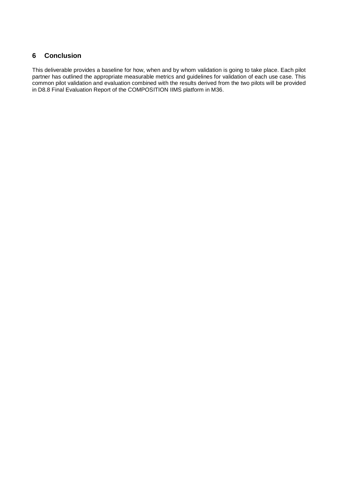## <span id="page-25-0"></span>**6 Conclusion**

This deliverable provides a baseline for how, when and by whom validation is going to take place. Each pilot partner has outlined the appropriate measurable metrics and guidelines for validation of each use case. This common pilot validation and evaluation combined with the results derived from the two pilots will be provided in D8.8 Final Evaluation Report of the COMPOSITION IIMS platform in M36.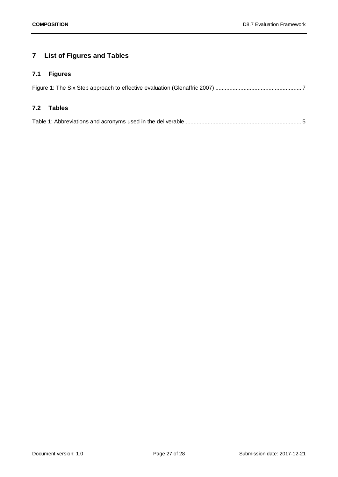## <span id="page-26-0"></span>**7 List of Figures and Tables**

## <span id="page-26-1"></span>**7.1 Figures**

### <span id="page-26-2"></span>**7.2 Tables**